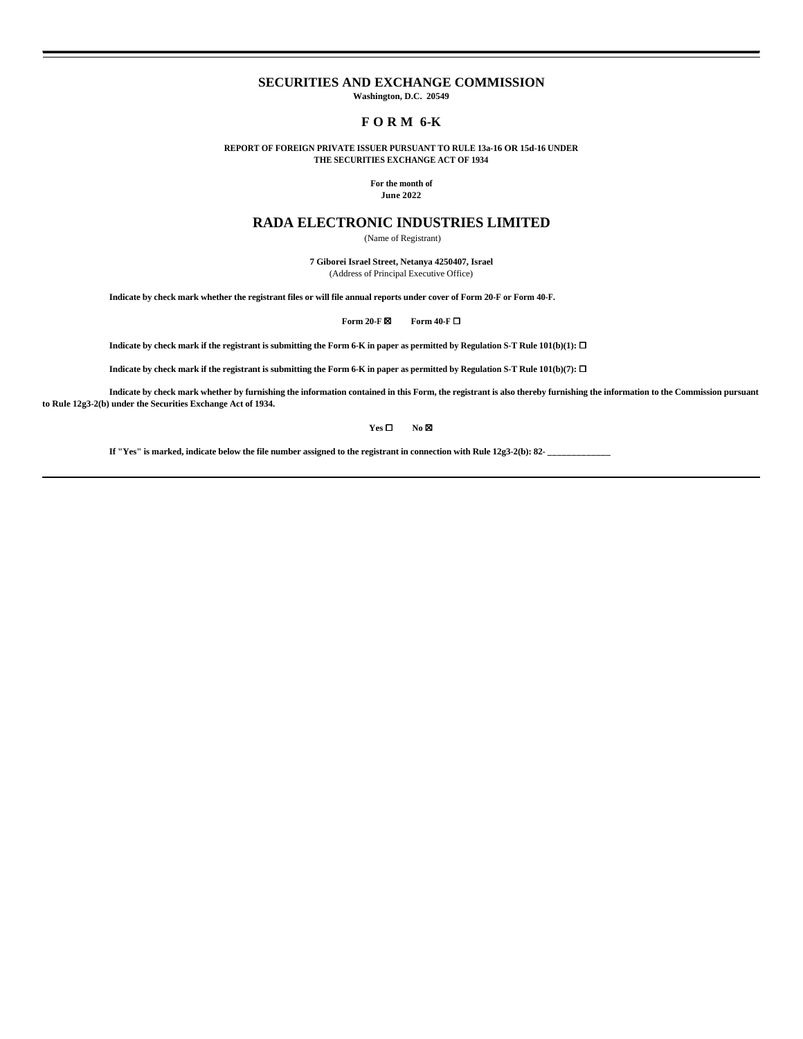### **SECURITIES AND EXCHANGE COMMISSION**

**Washington, D.C. 20549**

# **F O R M 6-K**

**REPORT OF FOREIGN PRIVATE ISSUER PURSUANT TO RULE 13a-16 OR 15d-16 UNDER THE SECURITIES EXCHANGE ACT OF 1934**

> **For the month of June 2022**

## **RADA ELECTRONIC INDUSTRIES LIMITED**

(Name of Registrant)

**7 Giborei Israel Street, Netanya 4250407, Israel** (Address of Principal Executive Office)

**Indicate by check mark whether the registrant files or will file annual reports under cover of Form 20-F or Form 40-F.**

**Form 20-F ⊠ Form 40-F □** 

**Indicate by check mark if the registrant is submitting the Form 6-K in paper as permitted by Regulation S-T Rule 101(b)(1):**  $\Box$ 

**Indicate by check mark if the registrant is submitting the Form 6-K in paper as permitted by Regulation S-T Rule 101(b)(7):**  $\Box$ 

**Indicate by check mark whether by furnishing the information contained in this Form, the registrant is also thereby furnishing the information to the Commission pursuant to Rule 12g3-2(b) under the Securities Exchange Act of 1934.**

**Yes** ☐ **No** ☒

**If "Yes" is marked, indicate below the file number assigned to the registrant in connection with Rule 12g3-2(b): 82- \_\_\_\_\_\_\_\_\_\_\_\_\_**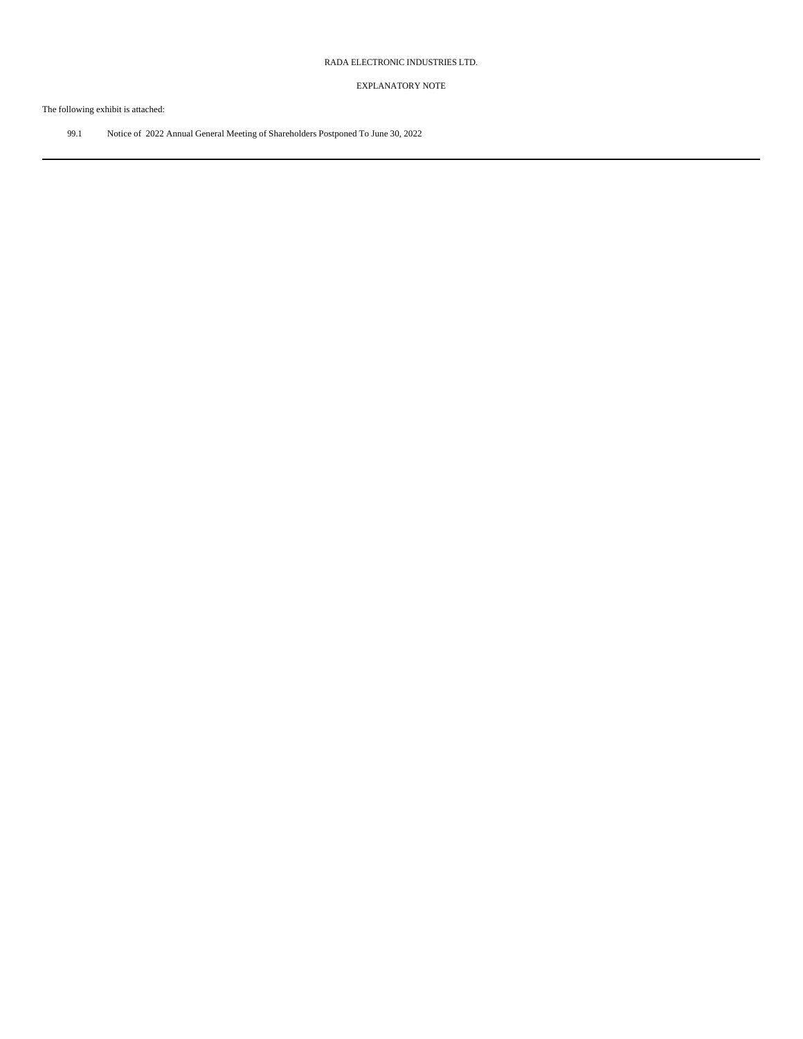### EXPLANATORY NOTE

The following exhibit is attached:

99.1 Notice of 2022 Annual General Meeting of Shareholders Postponed To June 30, 2022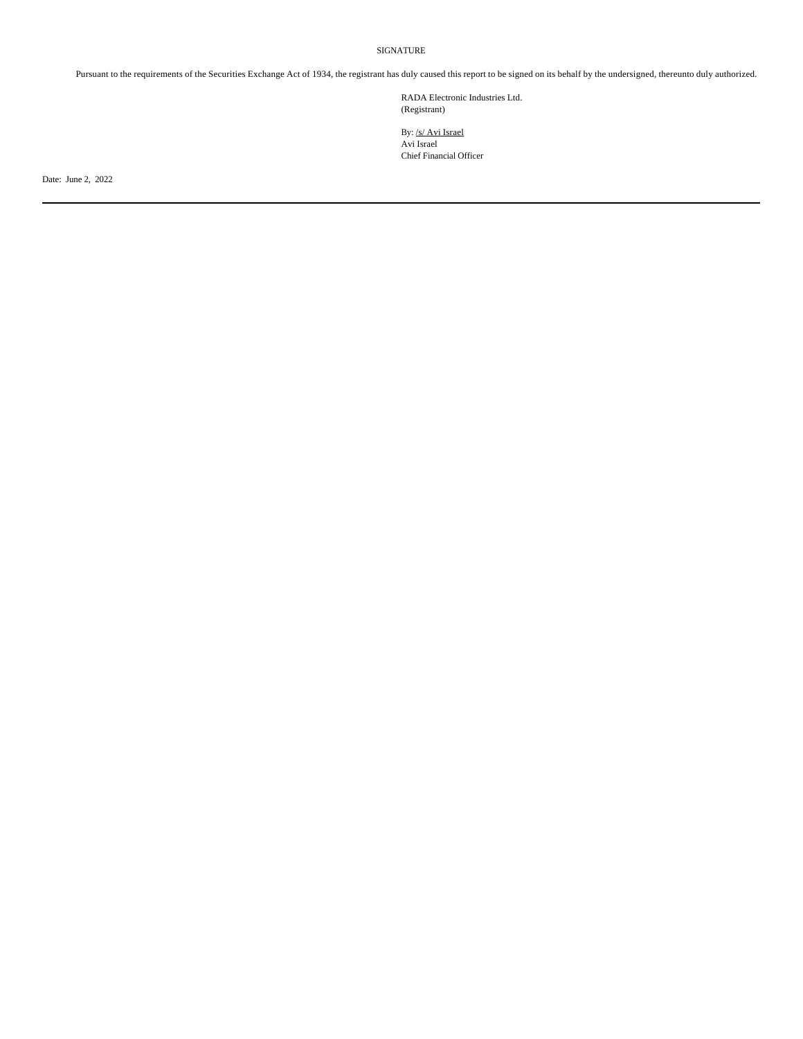SIGNATURE

Pursuant to the requirements of the Securities Exchange Act of 1934, the registrant has duly caused this report to be signed on its behalf by the undersigned, thereunto duly authorized.

RADA Electronic Industries Ltd. (Registrant)

By: /s/ Avi Israel Avi Israel Chief Financial Officer

Date: June 2, 2022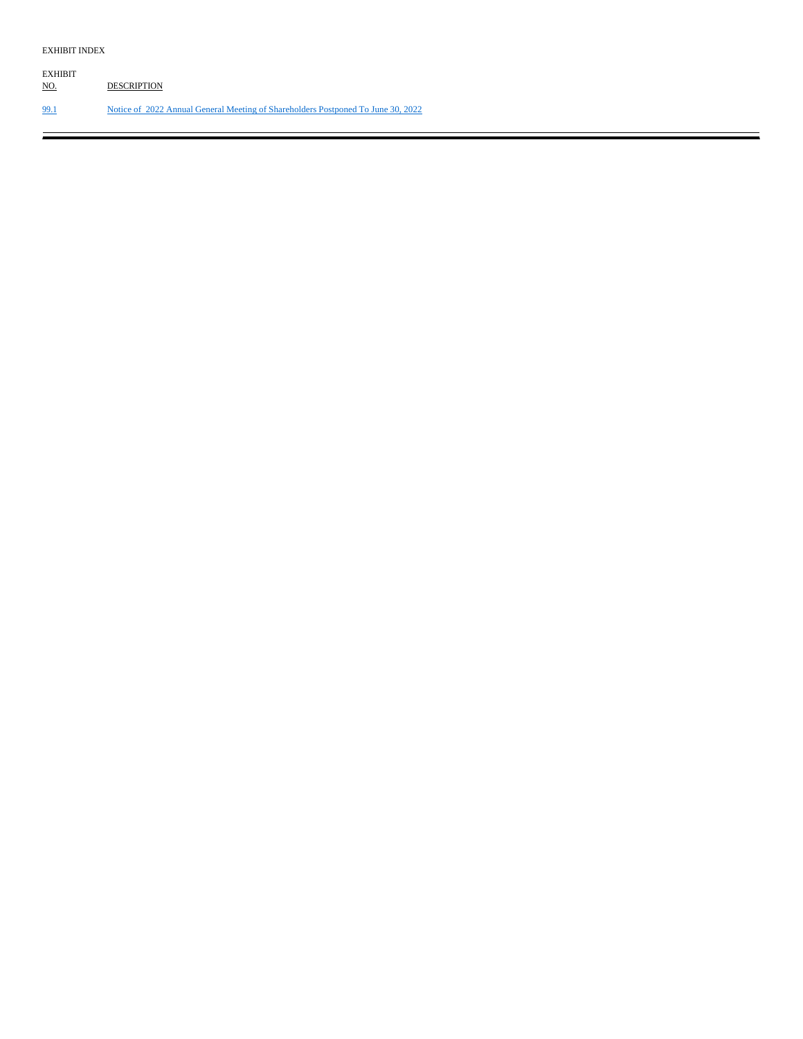| EXHIBIT<br><u>NO.</u> | <b>DESCRIPTION</b>                                                               |
|-----------------------|----------------------------------------------------------------------------------|
| 99.1                  | Notice of 2022 Annual General Meeting of Shareholders Postponed To June 30, 2022 |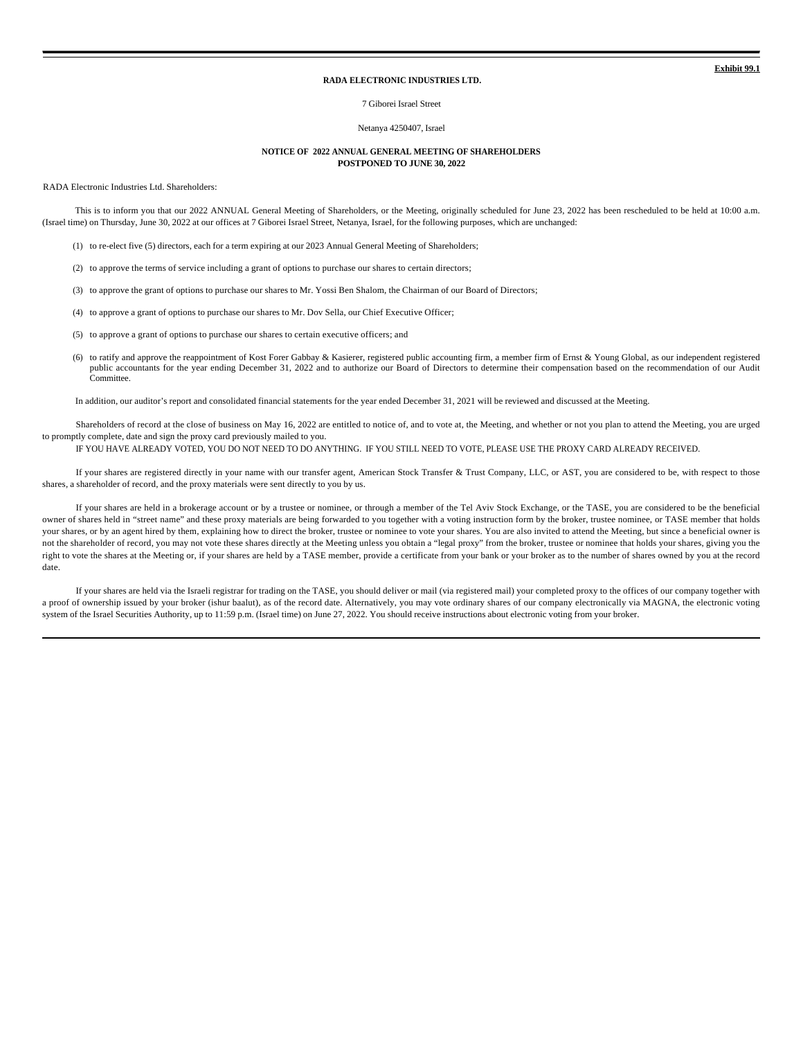**Exhibit 99.1**

#### **RADA ELECTRONIC INDUSTRIES LTD.**

#### 7 Giborei Israel Street

### Netanya 4250407, Israel

#### **NOTICE OF 2022 ANNUAL GENERAL MEETING OF SHAREHOLDERS POSTPONED TO JUNE 30, 2022**

RADA Electronic Industries Ltd. Shareholders:

This is to inform you that our 2022 ANNUAL General Meeting of Shareholders, or the Meeting, originally scheduled for June 23, 2022 has been rescheduled to be held at 10:00 a.m. (Israel time) on Thursday, June 30, 2022 at our offices at 7 Giborei Israel Street, Netanya, Israel, for the following purposes, which are unchanged:

(1) to re-elect five (5) directors, each for a term expiring at our 2023 Annual General Meeting of Shareholders;

(2) to approve the terms of service including a grant of options to purchase our shares to certain directors;

(3) to approve the grant of options to purchase our shares to Mr. Yossi Ben Shalom, the Chairman of our Board of Directors;

(4) to approve a grant of options to purchase our shares to Mr. Dov Sella, our Chief Executive Officer;

(5) to approve a grant of options to purchase our shares to certain executive officers; and

(6) to ratify and approve the reappointment of Kost Forer Gabbay & Kasierer, registered public accounting firm, a member firm of Ernst & Young Global, as our independent registered public accountants for the year ending December 31, 2022 and to authorize our Board of Directors to determine their compensation based on the recommendation of our Audit Committee.

In addition, our auditor's report and consolidated financial statements for the year ended December 31, 2021 will be reviewed and discussed at the Meeting.

Shareholders of record at the close of business on May 16, 2022 are entitled to notice of, and to vote at, the Meeting, and whether or not you plan to attend the Meeting, you are urged to promptly complete, date and sign the proxy card previously mailed to you.

IF YOU HAVE ALREADY VOTED, YOU DO NOT NEED TO DO ANYTHING. IF YOU STILL NEED TO VOTE, PLEASE USE THE PROXY CARD ALREADY RECEIVED.

If your shares are registered directly in your name with our transfer agent, American Stock Transfer & Trust Company, LLC, or AST, you are considered to be, with respect to those shares, a shareholder of record, and the proxy materials were sent directly to you by us.

If your shares are held in a brokerage account or by a trustee or nominee, or through a member of the Tel Aviv Stock Exchange, or the TASE, you are considered to be the beneficial owner of shares held in "street name" and these proxy materials are being forwarded to you together with a voting instruction form by the broker, trustee nominee, or TASE member that holds your shares, or by an agent hired by them, explaining how to direct the broker, trustee or nominee to vote your shares. You are also invited to attend the Meeting, but since a beneficial owner is not the shareholder of record, you may not vote these shares directly at the Meeting unless you obtain a "legal proxy" from the broker, trustee or nominee that holds your shares, giving you the right to vote the shares at the Meeting or, if your shares are held by a TASE member, provide a certificate from your bank or your broker as to the number of shares owned by you at the record date.

If your shares are held via the Israeli registrar for trading on the TASE, you should deliver or mail (via registered mail) your completed proxy to the offices of our company together with a proof of ownership issued by your broker (ishur baalut), as of the record date. Alternatively, you may vote ordinary shares of our company electronically via MAGNA, the electronic voting system of the Israel Securities Authority, up to 11:59 p.m. (Israel time) on June 27, 2022. You should receive instructions about electronic voting from your broker.